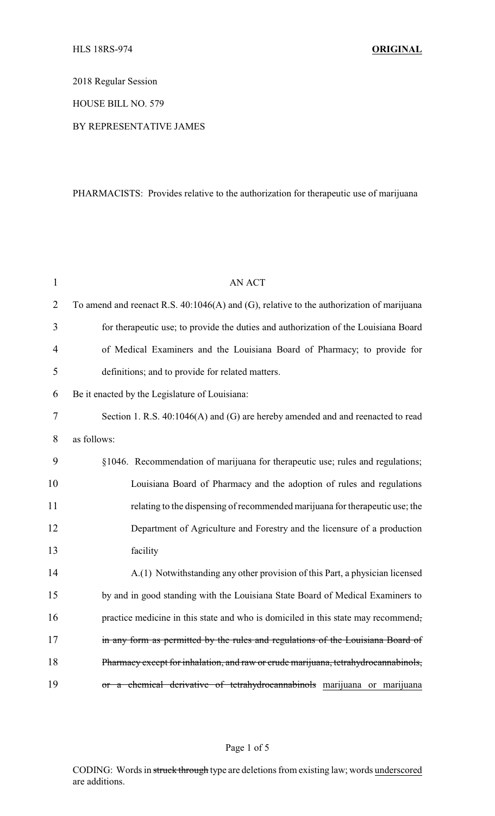2018 Regular Session

HOUSE BILL NO. 579

## BY REPRESENTATIVE JAMES

## PHARMACISTS: Provides relative to the authorization for therapeutic use of marijuana

| 1              | <b>AN ACT</b>                                                                              |
|----------------|--------------------------------------------------------------------------------------------|
| $\overline{2}$ | To amend and reenact R.S. $40:1046(A)$ and (G), relative to the authorization of marijuana |
| 3              | for therapeutic use; to provide the duties and authorization of the Louisiana Board        |
| $\overline{4}$ | of Medical Examiners and the Louisiana Board of Pharmacy; to provide for                   |
| 5              | definitions; and to provide for related matters.                                           |
| 6              | Be it enacted by the Legislature of Louisiana:                                             |
| $\overline{7}$ | Section 1. R.S. 40:1046(A) and (G) are hereby amended and and reenacted to read            |
| 8              | as follows:                                                                                |
| 9              | §1046. Recommendation of marijuana for therapeutic use; rules and regulations;             |
| 10             | Louisiana Board of Pharmacy and the adoption of rules and regulations                      |
| 11             | relating to the dispensing of recommended marijuana for therapeutic use; the               |
| 12             | Department of Agriculture and Forestry and the licensure of a production                   |
| 13             | facility                                                                                   |
| 14             | A.(1) Notwithstanding any other provision of this Part, a physician licensed               |
| 15             | by and in good standing with the Louisiana State Board of Medical Examiners to             |
| 16             | practice medicine in this state and who is domiciled in this state may recommend,          |
| 17             | in any form as permitted by the rules and regulations of the Louisiana Board of            |
| 18             | Pharmacy except for inhalation, and raw or crude marijuana, tetrahydrocannabinols,         |
| 19             | or a chemical derivative of tetrahydrocannabinols marijuana or marijuana                   |

CODING: Words in struck through type are deletions from existing law; words underscored are additions.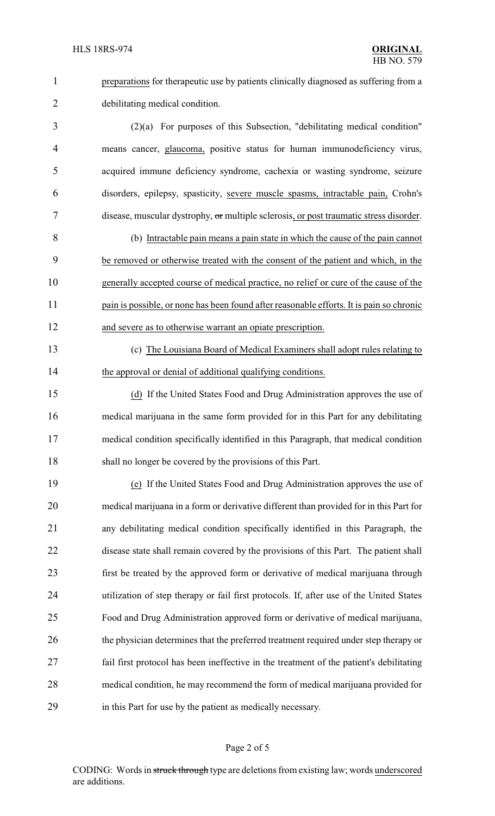preparations for therapeutic use by patients clinically diagnosed as suffering from a debilitating medical condition.

 (2)(a) For purposes of this Subsection, "debilitating medical condition" means cancer, glaucoma, positive status for human immunodeficiency virus, acquired immune deficiency syndrome, cachexia or wasting syndrome, seizure disorders, epilepsy, spasticity, severe muscle spasms, intractable pain, Crohn's disease, muscular dystrophy, or multiple sclerosis, or post traumatic stress disorder.

 (b) Intractable pain means a pain state in which the cause of the pain cannot be removed or otherwise treated with the consent of the patient and which, in the generally accepted course of medical practice, no relief or cure of the cause of the 11 pain is possible, or none has been found after reasonable efforts. It is pain so chronic and severe as to otherwise warrant an opiate prescription.

 (c) The Louisiana Board of Medical Examiners shall adopt rules relating to 14 the approval or denial of additional qualifying conditions.

 (d) If the United States Food and Drug Administration approves the use of medical marijuana in the same form provided for in this Part for any debilitating medical condition specifically identified in this Paragraph, that medical condition shall no longer be covered by the provisions of this Part.

 (e) If the United States Food and Drug Administration approves the use of medical marijuana in a form or derivative different than provided for in this Part for any debilitating medical condition specifically identified in this Paragraph, the disease state shall remain covered by the provisions of this Part. The patient shall first be treated by the approved form or derivative of medical marijuana through utilization of step therapy or fail first protocols. If, after use of the United States Food and Drug Administration approved form or derivative of medical marijuana, 26 the physician determines that the preferred treatment required under step therapy or fail first protocol has been ineffective in the treatment of the patient's debilitating medical condition, he may recommend the form of medical marijuana provided for in this Part for use by the patient as medically necessary.

## Page 2 of 5

CODING: Words in struck through type are deletions from existing law; words underscored are additions.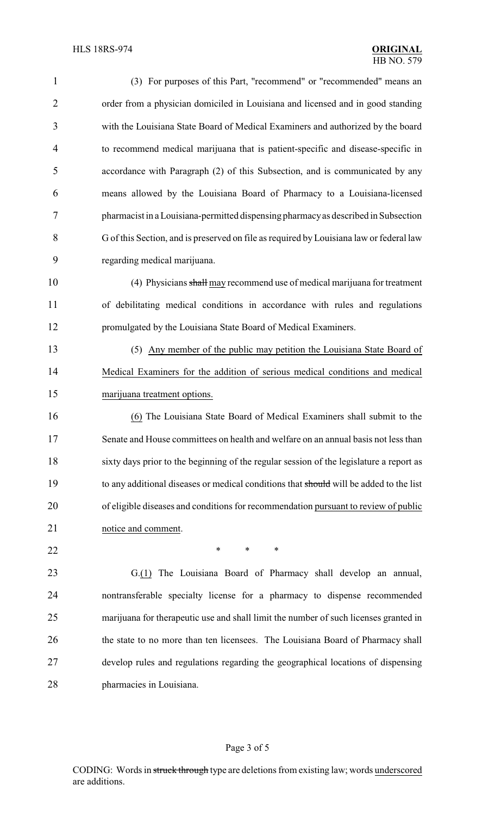| $\mathbf{1}$   | (3) For purposes of this Part, "recommend" or "recommended" means an                    |
|----------------|-----------------------------------------------------------------------------------------|
| $\overline{2}$ | order from a physician domiciled in Louisiana and licensed and in good standing         |
| 3              | with the Louisiana State Board of Medical Examiners and authorized by the board         |
| $\overline{4}$ | to recommend medical marijuana that is patient-specific and disease-specific in         |
| 5              | accordance with Paragraph (2) of this Subsection, and is communicated by any            |
| 6              | means allowed by the Louisiana Board of Pharmacy to a Louisiana-licensed                |
| 7              | pharmacist in a Louisiana-permitted dispensing pharmacy as described in Subsection      |
| 8              | G of this Section, and is preserved on file as required by Louisiana law or federal law |
| 9              | regarding medical marijuana.                                                            |
| 10             | (4) Physicians shall may recommend use of medical marijuana for treatment               |
| 11             | of debilitating medical conditions in accordance with rules and regulations             |
| 12             | promulgated by the Louisiana State Board of Medical Examiners.                          |
| 13             | (5) Any member of the public may petition the Louisiana State Board of                  |
| 14             | Medical Examiners for the addition of serious medical conditions and medical            |
| 15             | marijuana treatment options.                                                            |
| 16             | (6) The Louisiana State Board of Medical Examiners shall submit to the                  |
| 17             | Senate and House committees on health and welfare on an annual basis not less than      |
| 18             | sixty days prior to the beginning of the regular session of the legislature a report as |
| 19             | to any additional diseases or medical conditions that should will be added to the list  |
| 20             | of eligible diseases and conditions for recommendation pursuant to review of public     |
| 21             | notice and comment.                                                                     |
| 22             | $\ast$<br>∗<br>∗                                                                        |
| 23             | G.(1) The Louisiana Board of Pharmacy shall develop an annual,                          |
| 24             | nontransferable specialty license for a pharmacy to dispense recommended                |
| 25             | marijuana for therapeutic use and shall limit the number of such licenses granted in    |
| 26             | the state to no more than ten licensees. The Louisiana Board of Pharmacy shall          |
| 27             | develop rules and regulations regarding the geographical locations of dispensing        |
| 28             | pharmacies in Louisiana.                                                                |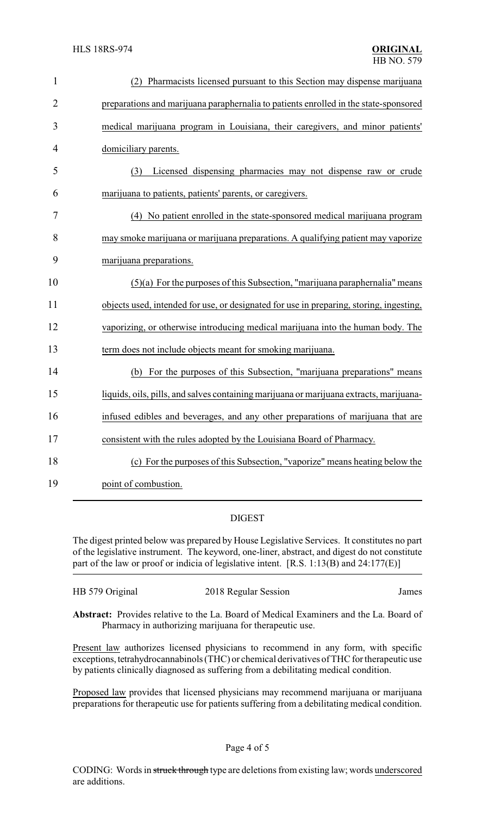| $\mathbf{1}$   | (2) Pharmacists licensed pursuant to this Section may dispense marijuana                |
|----------------|-----------------------------------------------------------------------------------------|
| $\overline{2}$ | preparations and marijuana paraphernalia to patients enrolled in the state-sponsored    |
| 3              | medical marijuana program in Louisiana, their caregivers, and minor patients'           |
| $\overline{4}$ | domiciliary parents.                                                                    |
| 5              | Licensed dispensing pharmacies may not dispense raw or crude<br>(3)                     |
| 6              | marijuana to patients, patients' parents, or caregivers.                                |
| 7              | (4) No patient enrolled in the state-sponsored medical marijuana program                |
| 8              | may smoke marijuana or marijuana preparations. A qualifying patient may vaporize        |
| 9              | marijuana preparations.                                                                 |
| 10             | $(5)(a)$ For the purposes of this Subsection, "marijuana paraphernalia" means           |
| 11             | objects used, intended for use, or designated for use in preparing, storing, ingesting, |
| 12             | vaporizing, or otherwise introducing medical marijuana into the human body. The         |
| 13             | term does not include objects meant for smoking marijuana.                              |
| 14             | (b) For the purposes of this Subsection, "marijuana preparations" means                 |
| 15             | liquids, oils, pills, and salves containing marijuana or marijuana extracts, marijuana- |
| 16             | infused edibles and beverages, and any other preparations of marijuana that are         |
| 17             | consistent with the rules adopted by the Louisiana Board of Pharmacy.                   |
| 18             | (c) For the purposes of this Subsection, "vaporize" means heating below the             |
| 19             | point of combustion.                                                                    |

## DIGEST

The digest printed below was prepared by House Legislative Services. It constitutes no part of the legislative instrument. The keyword, one-liner, abstract, and digest do not constitute part of the law or proof or indicia of legislative intent. [R.S. 1:13(B) and 24:177(E)]

| HB 579 Original | 2018 Regular Session | James |
|-----------------|----------------------|-------|
|                 |                      |       |

**Abstract:** Provides relative to the La. Board of Medical Examiners and the La. Board of Pharmacy in authorizing marijuana for therapeutic use.

Present law authorizes licensed physicians to recommend in any form, with specific exceptions, tetrahydrocannabinols (THC) or chemical derivatives of THC for therapeutic use by patients clinically diagnosed as suffering from a debilitating medical condition.

Proposed law provides that licensed physicians may recommend marijuana or marijuana preparations for therapeutic use for patients suffering from a debilitating medical condition.